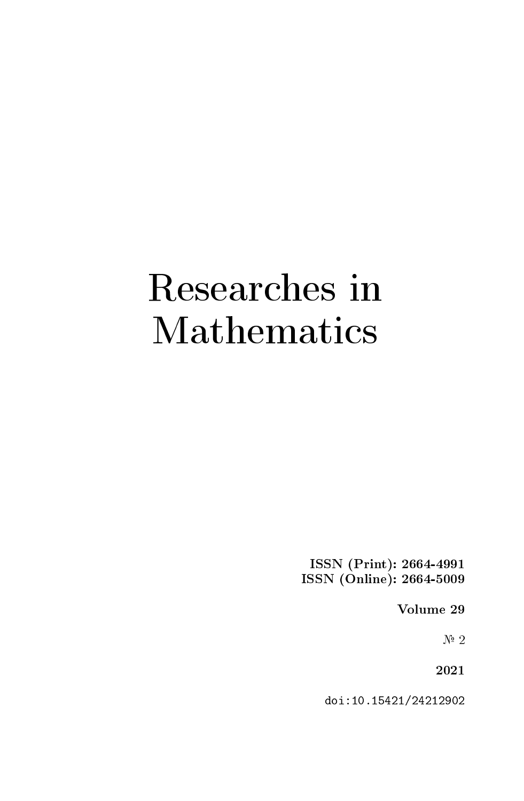## Researches in Mathematics

ISSN (Print): 2664-4991 ISSN (Online): 2664-5009

Volume 29

 $N^{\circ}$  2

2021

doi:10.15421/24212902